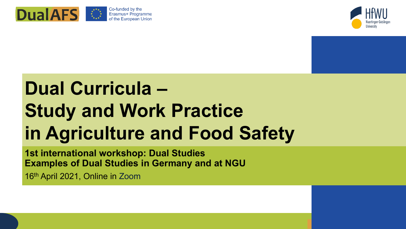



## **Dual Curricula – Study and Work Practice in Agriculture and Food Safety**

**1st international workshop: Dual Studies Examples of Dual Studies in Germany and at NGU**

16th April 2021, Online in Zoom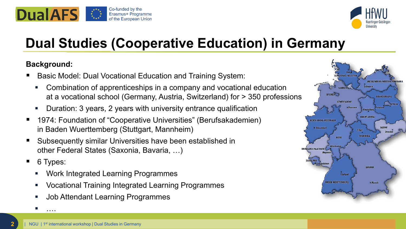



### **Dual Studies (Cooperative Education) in Germany**

#### **Background:**

- Basic Model: Dual Vocational Education and Training System:
	- Combination of apprenticeships in a company and vocational education at a vocational school (Germany, Austria, Switzerland) for > 350 professions
	- Duration: 3 years, 2 years with university entrance qualification
- 1974: Foundation of "Cooperative Universities" (Berufsakademien) in Baden Wuerttemberg (Stuttgart, Mannheim)
- Subsequently similar Universities have been established in other Federal States (Saxonia, Bavaria, ...)
- 6 Types:

….

- Work Integrated Learning Programmes
- Vocational Training Integrated Learning Programmes
- Job Attendant Learning Programmes

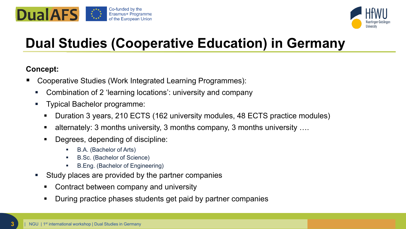



### **Dual Studies (Cooperative Education) in Germany**

#### **Concept:**

- Cooperative Studies (Work Integrated Learning Programmes):
	- Combination of 2 'learning locations': university and company
	- Typical Bachelor programme:
		- Duration 3 years, 210 ECTS (162 university modules, 48 ECTS practice modules)
		- alternately: 3 months university, 3 months company, 3 months university ….
		- Degrees, depending of discipline:
			- B.A. (Bachelor of Arts)
			- B.Sc. (Bachelor of Science)
			- B.Eng. (Bachelor of Engineering)
	- Study places are provided by the partner companies
		- Contract between company and university
		- During practice phases students get paid by partner companies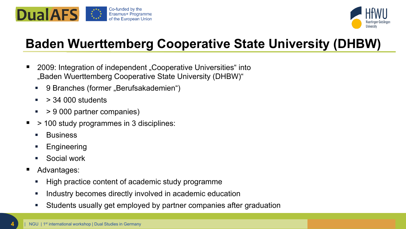



### **Baden Wuerttemberg Cooperative State University (DHBW)**

- 2009: Integration of independent "Cooperative Universities" into "Baden Wuerttemberg Cooperative State University (DHBW)"
	- 9 Branches (former "Berufsakademien")
	- $\sim$  > 34 000 students
	- $\sim$  > 9 000 partner companies)
- $\blacksquare$  > 100 study programmes in 3 disciplines:
	- **Business**
	- **Engineering**
	- Social work
- Advantages:
	- High practice content of academic study programme
	- **If all industry becomes directly involved in academic education**
	- Students usually get employed by partner companies after graduation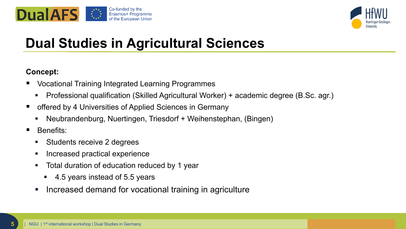



### **Dual Studies in Agricultural Sciences**

#### **Concept:**

- Vocational Training Integrated Learning Programmes
	- Professional qualification (Skilled Agricultural Worker) + academic degree (B.Sc. agr.)
- offered by 4 Universities of Applied Sciences in Germany
	- Neubrandenburg, Nuertingen, Triesdorf + Weihenstephan, (Bingen)
- **Benefits:** 
	- **Students receive 2 degrees**
	- **Increased practical experience**
	- Total duration of education reduced by 1 year
		- 4.5 years instead of 5.5 years
	- **Increased demand for vocational training in agriculture**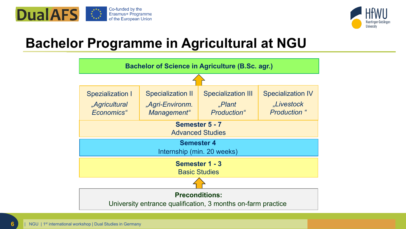



### **Bachelor Programme in Agricultural at NGU**

| <b>Bachelor of Science in Agriculture (B.Sc. agr.)</b>                                |                                                            |                                                    |                                                               |  |  |  |  |
|---------------------------------------------------------------------------------------|------------------------------------------------------------|----------------------------------------------------|---------------------------------------------------------------|--|--|--|--|
|                                                                                       |                                                            |                                                    |                                                               |  |  |  |  |
| <b>Spezialization I</b><br>"Agricultural<br>Economics"                                | <b>Specialization II</b><br>"Agri-Environm.<br>Management" | <b>Specialization III</b><br>"Plant<br>Production" | <b>Specialization IV</b><br>"Livestock<br><b>Production</b> " |  |  |  |  |
| Semester 5 - 7<br><b>Advanced Studies</b>                                             |                                                            |                                                    |                                                               |  |  |  |  |
| <b>Semester 4</b><br>Internship (min. 20 weeks)                                       |                                                            |                                                    |                                                               |  |  |  |  |
| Semester 1 - 3<br><b>Basic Studies</b>                                                |                                                            |                                                    |                                                               |  |  |  |  |
|                                                                                       |                                                            |                                                    |                                                               |  |  |  |  |
| <b>Preconditions:</b><br>University entrance qualification, 3 months on-farm practice |                                                            |                                                    |                                                               |  |  |  |  |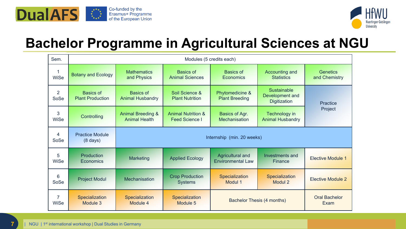



### **Bachelor Programme in Agricultural Sciences at NGU**

| Sem.                   |                                              | Modules (5 credits each)                             |                                                        |                                              |                                                              |                                  |
|------------------------|----------------------------------------------|------------------------------------------------------|--------------------------------------------------------|----------------------------------------------|--------------------------------------------------------------|----------------------------------|
| $\mathbf 1$<br>WiSe    | <b>Botany and Ecology</b>                    | <b>Mathematics</b><br>and Physics                    | <b>Basics of</b><br><b>Animal Sciences</b>             | <b>Basics of</b><br><b>Economics</b>         | Accounting and<br><b>Statistics</b>                          | <b>Genetics</b><br>and Chemistry |
| $\overline{2}$<br>SoSe | <b>Basics of</b><br><b>Plant Production</b>  | <b>Basics of</b><br><b>Animal Husbandry</b>          | Soil Science &<br><b>Plant Nutrition</b>               | Phytomedicine &<br><b>Plant Breeding</b>     | <b>Sustainable</b><br>Development and<br><b>Digitization</b> | <b>Practice</b>                  |
| 3<br>WiSe              | Controlling                                  | <b>Animal Breeding &amp;</b><br><b>Animal Health</b> | <b>Animal Nutrition &amp;</b><br><b>Feed Science I</b> | Basics of Agr.<br><b>Mechanisation</b>       | Technology in<br><b>Animal Husbandry</b>                     | Project                          |
| $\overline{4}$<br>SoSe | <b>Practice Module</b><br>$(8 \text{ days})$ | Internship (min. 20 weeks)                           |                                                        |                                              |                                                              |                                  |
| 5<br><b>WiSe</b>       | Production<br>Economics                      | Marketing                                            | <b>Applied Ecology</b>                                 | Agricultural and<br><b>Environmental Law</b> | Investments and<br>Finance                                   | <b>Elective Module 1</b>         |
| 6<br>SoSe              | <b>Project Modul</b>                         | Mechanisation                                        | <b>Crop Production</b><br><b>Systems</b>               | Specialization<br>Modul 1                    | Specialization<br>Modul 2                                    | <b>Elective Module 2</b>         |
| $\overline{7}$<br>WiSe | Specialization<br>Module 3                   | Specialization<br>Module 4                           | Specialization<br>Module 5                             | <b>Bachelor Thesis (4 months)</b><br>Exam    |                                                              | <b>Oral Bachelor</b>             |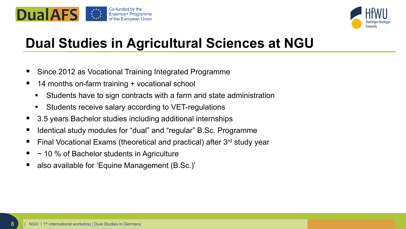



### **Dual Studies in Agricultural Sciences at NGU**

- Since 2012 as Vocational Training Integrated Programme
- 14 months on-farm training + vocational school
	- Students have to sign contracts with a farm and state administration
	- Students receive salary according to VET-regulations
- 3.5 years Bachelor studies including additional internships
- Identical study modules for "dual" and "regular" B.Sc. Programme
- Final Vocational Exams (theoretical and practical) after 3rd study year
- $\sim$  10 % of Bachelor students in Agriculture
- also available for 'Equine Management (B.Sc.)'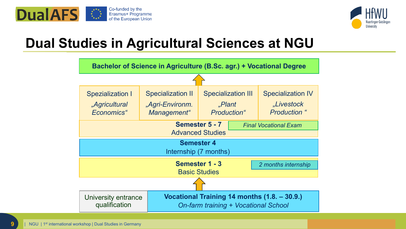



### **Dual Studies in Agricultural Sciences at NGU**

| Bachelor of Science in Agriculture (B.Sc. agr.) + Vocational Degree              |                                                                                      |                                                    |                                                               |  |  |  |  |  |
|----------------------------------------------------------------------------------|--------------------------------------------------------------------------------------|----------------------------------------------------|---------------------------------------------------------------|--|--|--|--|--|
|                                                                                  |                                                                                      |                                                    |                                                               |  |  |  |  |  |
| <b>Spezialization I</b><br>"Agricultural<br>Economics"                           | <b>Specialization II</b><br>"Agri-Environm.<br>Management"                           | <b>Specialization III</b><br>"Plant<br>Production" | <b>Specialization IV</b><br>"Livestock<br><b>Production</b> " |  |  |  |  |  |
| <b>Semester 5 - 7</b><br><b>Final Vocational Exam</b><br><b>Advanced Studies</b> |                                                                                      |                                                    |                                                               |  |  |  |  |  |
| <b>Semester 4</b><br>Internship (7 months)                                       |                                                                                      |                                                    |                                                               |  |  |  |  |  |
| Semester 1 - 3<br>2 months internship<br><b>Basic Studies</b>                    |                                                                                      |                                                    |                                                               |  |  |  |  |  |
|                                                                                  |                                                                                      |                                                    |                                                               |  |  |  |  |  |
| University entrance<br>qualification                                             | Vocational Training 14 months (1.8. - 30.9.)<br>On-farm training + Vocational School |                                                    |                                                               |  |  |  |  |  |